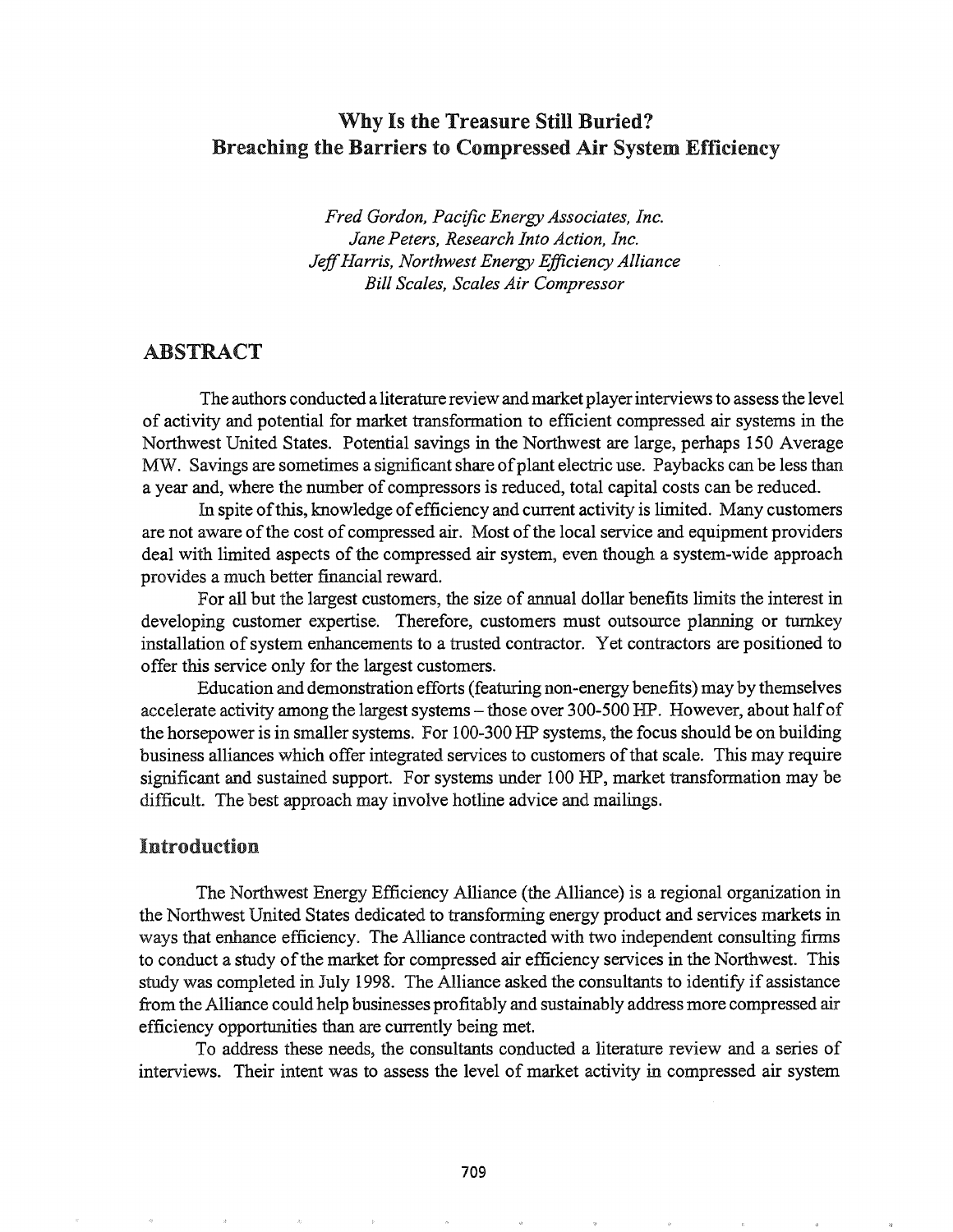# Why Is the Treasure Still Buried? Breaching the Barriers to Compressed Air System Efficiency

*Fred Gordon, Pacific Energy Associates, Inc. Jane Peters, Research Into Action, Inc. JeffHarris, Northwest Energy Efficiency Alliance Bill Scales, Scales Air Compressor*

## ABSTRACT

The authors conducted a literature review and market player interviews to assess the level of activity and potential for market transformation to efficient compressed air systems in the Northwest United States. Potential savings in the Northwest are large, perhaps 150 Average MW. Savings are sometimes a significant share of plant electric use. Paybacks can be less than a year and, where the number of compressors is reduced, total capital costs can be reduced.

In spite of this, knowledge of efficiency and current activity is limited. Many customers are not aware of the cost of compressed air. Most of the local service and equipment providers deal with limited aspects of the compressed air system, even though a system-wide approach provides a much better financial reward.

For all but the largest customers, the size of annual dollar benefits limits the interest in developing customer expertise. Therefore, customers must outsource planning or turnkey installation of system enhancements to a trusted contractor. Yet contractors are positioned to offer this service only for the largest customers.

Education and demonstration efforts (featuring non-energy benefits) may by themselves accelerate activity among the largest systems - those over 300-500 HP. However, about half of the horsepower is in smaller systems. For 100-300 HP systems, the focus should be on building business alliances which offer integrated services to customers ofthat scale. This may require significant and sustained support. For systems under 100 HP, market transformation may be difficult. The best approach may involve hotline advice and mailings.

### Introduction

The Northwest Energy Efficiency Alliance (the Alliance) is a regional organization in the Northwest United States dedicated to transfonning energy product and services markets in ways that enhance efficiency. The Alliance contracted with two independent consulting firms to conduct a study of the market for compressed air efficiency services in the Northwest. This study was completed in July 1998. The Alliance asked the consultants to identify if assistance from the Alliance could help businesses profitably and sustainably address more compressed air efficiency opportunities than are currently being met.

To address these needs, the consultants conducted a literature review and a series of interviews. Their intent was to assess the level of market activity in compressed air system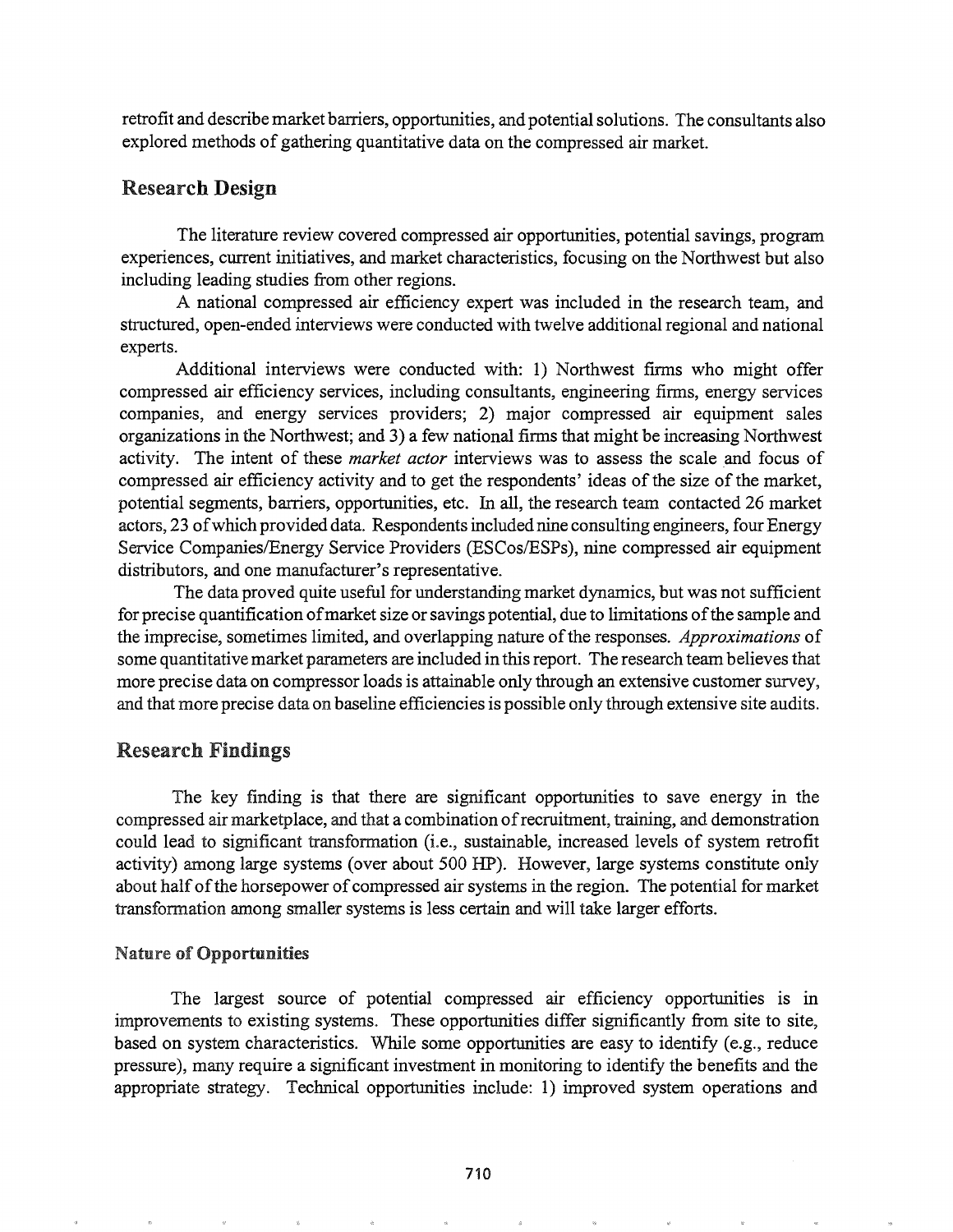retrofit and describe market barriers, opportunities, and potential solutions. The consultants also explored methods of gathering quantitative data on the compressed air market.

# Research Design

The literature review covered compressed air opportunities, potential savings, program experiences, current initiatives, and market characteristics, focusing on the Northwest but also including leading studies from other regions.

A national compressed air efficiency expert was included in the research team, and structured, open-ended interviews were conducted with twelve additional regional and national experts.

Additional interviews were conducted with: 1) Northwest firms who might offer compressed air efficiency services, including consultants, engineering firms, energy services companies, and energy services providers; 2) major compressed air equipment sales organizations in the Northwest; and 3) a few national firms that might be increasing Northwest activity. The intent of these *market actor* interviews was to assess the scale and focus of compressed air efficiency activity and to get the respondents' ideas of the size of the market, potential segments, barriers, opportunities, etc. In all, the research team contacted 26 market actors, 23 ofwhich provided data. Respondents included nine consulting engineers, four Energy Service Companies/Energy Service Providers (ESCos/ESPs), nine compressed air equipment distributors, and one manufacturer's representative.

The data proved quite useful for understanding market dynamics, but was not sufficient for precise quantification of market size or savings potential, due to limitations of the sample and the imprecise, sometimes limited, and overlapping nature ofthe responses. *Approximations* of some quantitative market parameters are included in this report. The research team believes that more precise data on compressor loads is attainable only through an extensive customer survey, and that more precise data on baseline efficiencies is possible only through extensive site audits.

## Research Findings

The key finding is that there are significant opportunities to save energy in the compressed air marketplace, and that a combination ofrecruitment, training, and demonstration could lead to significant transformation (i.e., sustainable, increased levels of system retrofit activity) among large systems (over about 500 HP). However, large systems constitute only about half of the horsepower of compressed air systems in the region. The potential for market transformation among smaller systems is less certain and will take larger efforts.

## **Nature of Opportunities**

The largest source of potential compressed air efficiency opportunities is in improvements to existing systems. These opportunities differ significantly from site to site, based on system characteristics. While some opportunities are easy to identify (e.g., reduce pressure), many require a significant investment in monitoring to identify the benefits and the appropriate strategy. Technical opportunities include: 1) improved system operations and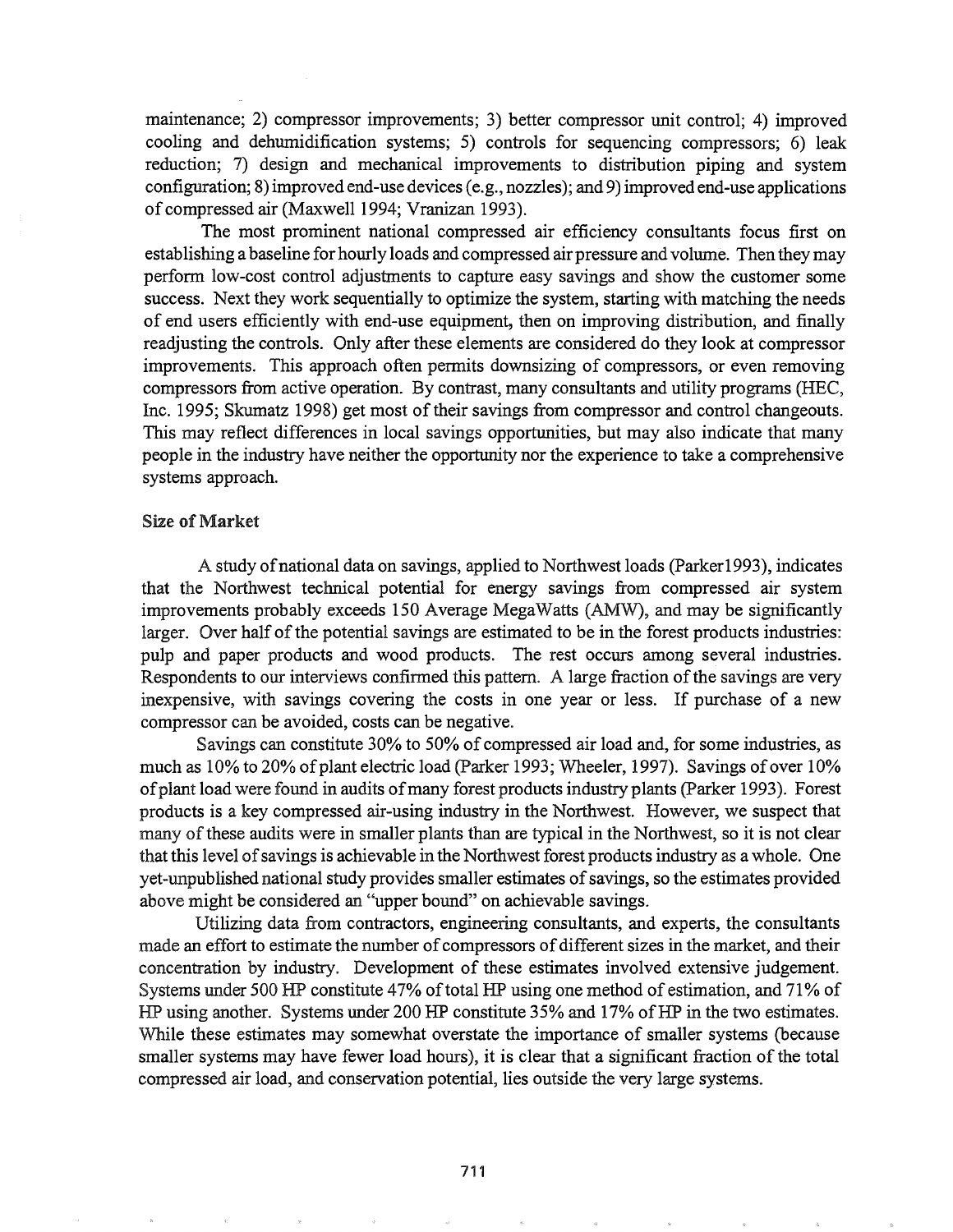maintenance; 2) compressor improvements; 3) better compressor unit control; 4) improved cooling and dehumidification systems; 5) controls for sequencing compressors; 6) leak reduction; 7) design and mechanical improvements to distribution piping and system configuration; 8) improved end-use devices (e.g., nozzles); and 9) improved end-use applications of compressed air (Maxwell 1994; Vranizan 1993).

The most prominent national compressed air efficiency consultants focus first on establishing a baseline for hourly loads and compressed air pressure and volume. Then they may perform low-cost control adjustments to capture easy savings and show the customer some success. Next they work sequentially to optimize the system, starting with matching the needs of end users efficiently with end-use equipment, then on improving distribution, and finally readjusting the controls. Only after these elements are considered do they look at compressor improvements. This approach often permits downsizing of compressors, or even removing compressors from active operation. By contrast, many consultants and utility programs (HEC, Inc. 1995; Skumatz 1998) get most of their savings from compressor and control changeouts. This may reflect differences in local savings opportunities, but may also indicate that many people in the industry have neither the opportunity nor the experience to take a comprehensive systems approach.

#### Size of Market

A study ofnational data on savings, applied to Northwest loads (Parker1993), indicates that the Northwest technical potential for energy savings from compressed air system improvements probably exceeds 150 Average MegaWatts (AMW), and may be significantly larger. Over half of the potential savings are estimated to be in the forest products industries: pulp and paper products and wood products. The rest occurs among several industries. Respondents to our interviews confirmed this pattern. A large fraction of the savings are very inexpensive, with savings covering the costs in one year or less. If purchase of a new compressor can be avoided, costs can be negative.

Savings can constitute 30% to 50% of compressed air load and, for some industries, as much as 10% to 20% of plant electric load (Parker 1993; Wheeler, 1997). Savings of over 10% of plant load were found in audits of many forest products industry plants (Parker 1993). Forest products is a key compressed air-using industry in the Northwest. However, we suspect that many of these audits were in smaller plants than are typical in the Northwest, so it is not clear that this level of savings is achievable in the Northwest forest products industry as a whole. One yet-unpublished national study provides smaller estimates of savings, so the estimates provided above might be considered an "upper bound" on achievable savings.

Utilizing data from contractors, engineering consultants, and experts, the consultants made an effort to estimate the number of compressors of different sizes in the market, and their concentration by industry. Development of these estimates involved extensive judgement. Systems under 500 HP constitute 47% of total HP using one method of estimation, and 71% of HP using another. Systems under 200 HP constitute 35% and 17% of HP in the two estimates. While these estimates may somewhat overstate the importance of smaller systems (because smaller systems may have fewer load hours), it is clear that a significant fraction of the total compressed air load, and conservation potential, lies outside the very large systems.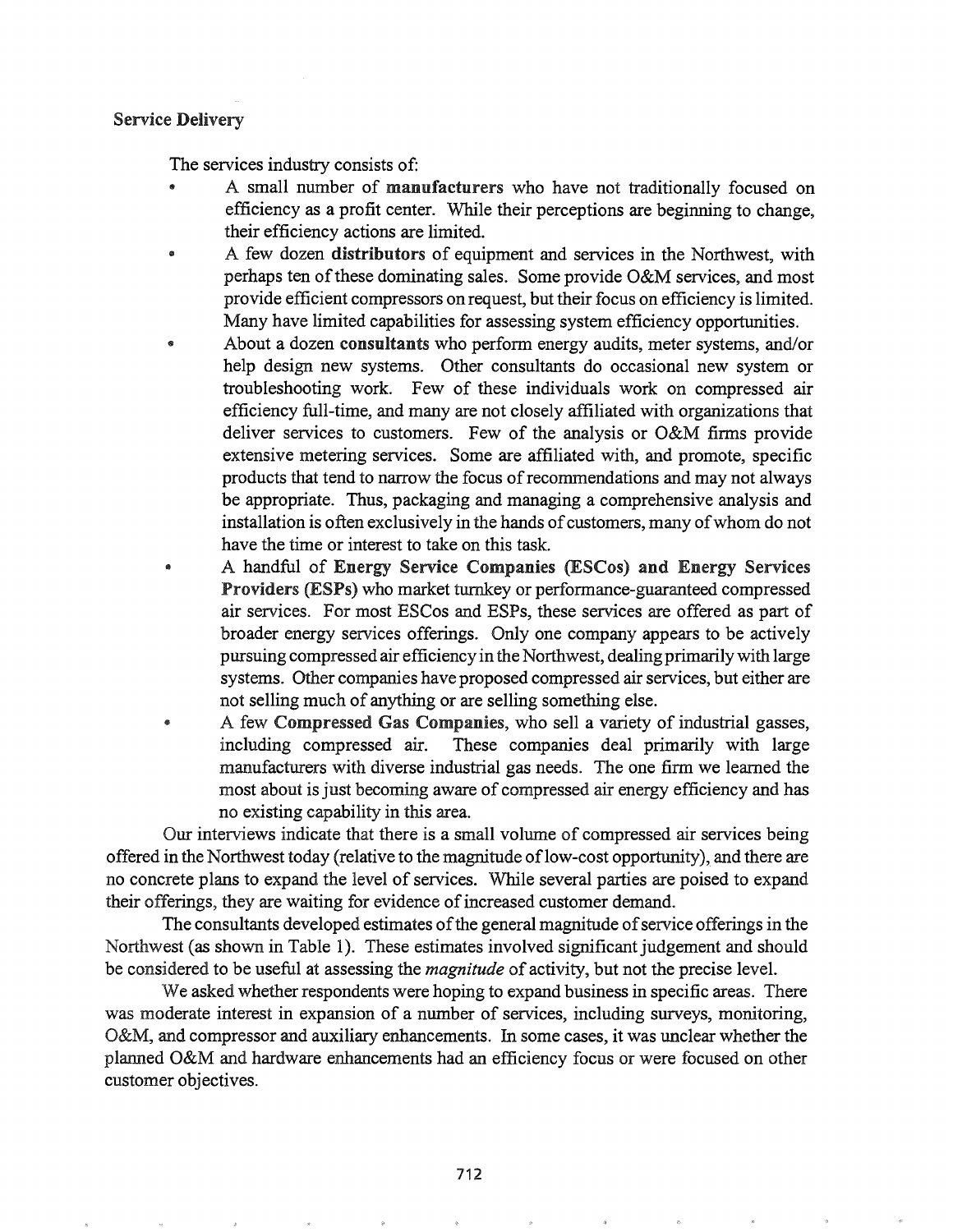#### Service Delivery

The services industry consists of:

- A small number of manufacturers who have not traditionally focused on efficiency as a profit center. While their perceptions are beginning to change, their efficiency actions are limited.
- A few dozen distributors of equipment and services in the Northwest, with perhaps ten of these dominating sales. Some provide  $O&M$  services, and most provide efficient compressors on request, but their focus on efficiency is limited. Many have limited capabilities for assessing system efficiency opportunities.
- About a dozen consultants who perform energy audits, meter systems, and/or help design new systems. Other consultants do occasional new system or troubleshooting work. Few of these individuals work on compressed air efficiency full-time, and many are not closely affiliated with organizations that deliver services to customers. Few of the analysis or O&M firms provide extensive metering services. Some are affiliated with, and promote, specific products that tend to narrow the focus of recommendations and may not always be appropriate. Thus, packaging and managing a comprehensive analysis and installation is often exclusively in the hands of customers, many of whom do not have the time or interest to take on this task.
- @ A handful of Energy Service Companies (ESCos) and Energy Services Providers (ESPs) who market turnkey or performance-guaranteed compressed air services. For most ESCos and ESPs, these services are offered as part of broader energy services offerings. Only one company appears to be actively pursuing compressed air efficiency in the Northwest, dealing primarilywith large systems. Other companies have proposed compressed air services, but either are not selling much of anything or are selling something else.
- @ A few Compressed Gas Companies, who sell a variety of industrial gasses, including compressed air. These companies deal primarily with large manufacturers with diverse industrial gas needs. The one firm we learned the most about is just becoming aware of compressed air energy efficiency and has no existing capability in this area.

Our interviews indicate that there is a small volume of compressed air services being offered in the Northwest today (relative to the magnitude of low-cost opportunity), and there are no concrete plans to expand the level of services. While several parties are poised to expand their offerings, they are waiting for evidence of increased customer demand.

The consultants developed estimates of the general magnitude of service offerings in the Northwest (as shown in Table 1). These estimates involved significant judgement and should be considered to be useful at assessing the *magnitude* of activity, but not the precise level.

We asked whether respondents were hoping to expand business in specific areas. There was moderate interest in expansion of a number of services, including surveys, monitoring, O&M, and compressor and auxiliary enhancements. In some cases, it was unclear whether the planned O&M and hardware enhancements had an efficiency focus or were focused on other customer objectives..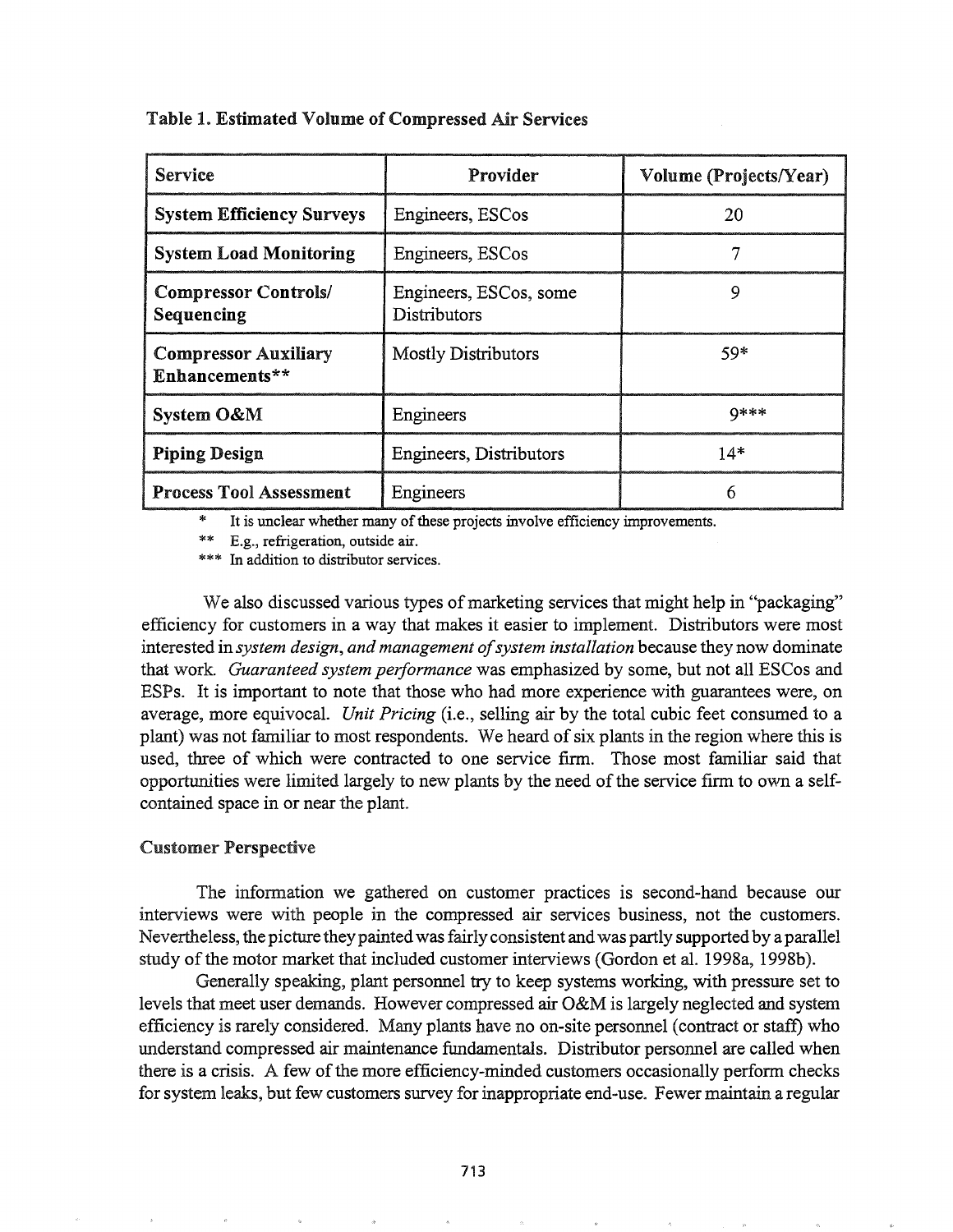| <b>Service</b>                                | Provider                               | Volume (Projects/Year) |
|-----------------------------------------------|----------------------------------------|------------------------|
| <b>System Efficiency Surveys</b>              | Engineers, ESCos                       | 20                     |
| <b>System Load Monitoring</b>                 | Engineers, ESCos                       |                        |
| <b>Compressor Controls/</b><br>Sequencing     | Engineers, ESCos, some<br>Distributors | Q                      |
| <b>Compressor Auxiliary</b><br>Enhancements** | <b>Mostly Distributors</b>             | $59*$                  |
| System O&M                                    | Engineers                              | <b>Q***</b>            |
| <b>Piping Design</b>                          | Engineers, Distributors                | $14*$                  |
| <b>Process Tool Assessment</b>                | Engineers                              | 6                      |

Table 1. Estimated Volume of Compressed Air Services

It is unclear whether many of these projects involve efficiency improvements.

E.g., refrigeration, outside air.

\*\*\* In addition to distributor services.

We also discussed various types of marketing services that might help in "packaging" efficiency for customers in a way that makes it easier to implement. Distributors were most interested in *system design, and management ofsystem installation* because they now dominate that work. *Guaranteed system performance* was emphasized by some, but not all ESCos and ESPs. It is important to note that those who had more experience with guarantees were, on average, more equivocaL *Unit Pricing* (i.e., selling air by the total cubic feet consumed to a plant) was not familiar to most respondents. We heard of six plants in the region where this is used, three of which were contracted to one service firm. Those most familiar said that opportunities were limited largely to new plants by the need of the service firm to own a selfcontained space in or near the plant.

#### Customer Perspective

The information we gathered on customer practices is second-hand because our interviews were with people in the compressed air services business, not the customers. Nevertheless, the picture they painted was fairly consistent and was partly supported by a parallel study of the motor market that included customer interviews (Gordon et al. 1998a, 1998b).

Generally speaking, plant personnel try to keep systems working, with pressure set to levels that meet user demands. However compressed air O&M is largely neglected and system efficiency is rarely considered. Many plants have no on-site personnel (contract or staff) who understand compressed air maintenance fundamentals. Distributor personnel are called when there is a crisis. A few of the more efficiency-minded customers occasionally perform checks for system leaks, but few customers survey for inappropriate end-use. Fewer maintain a regular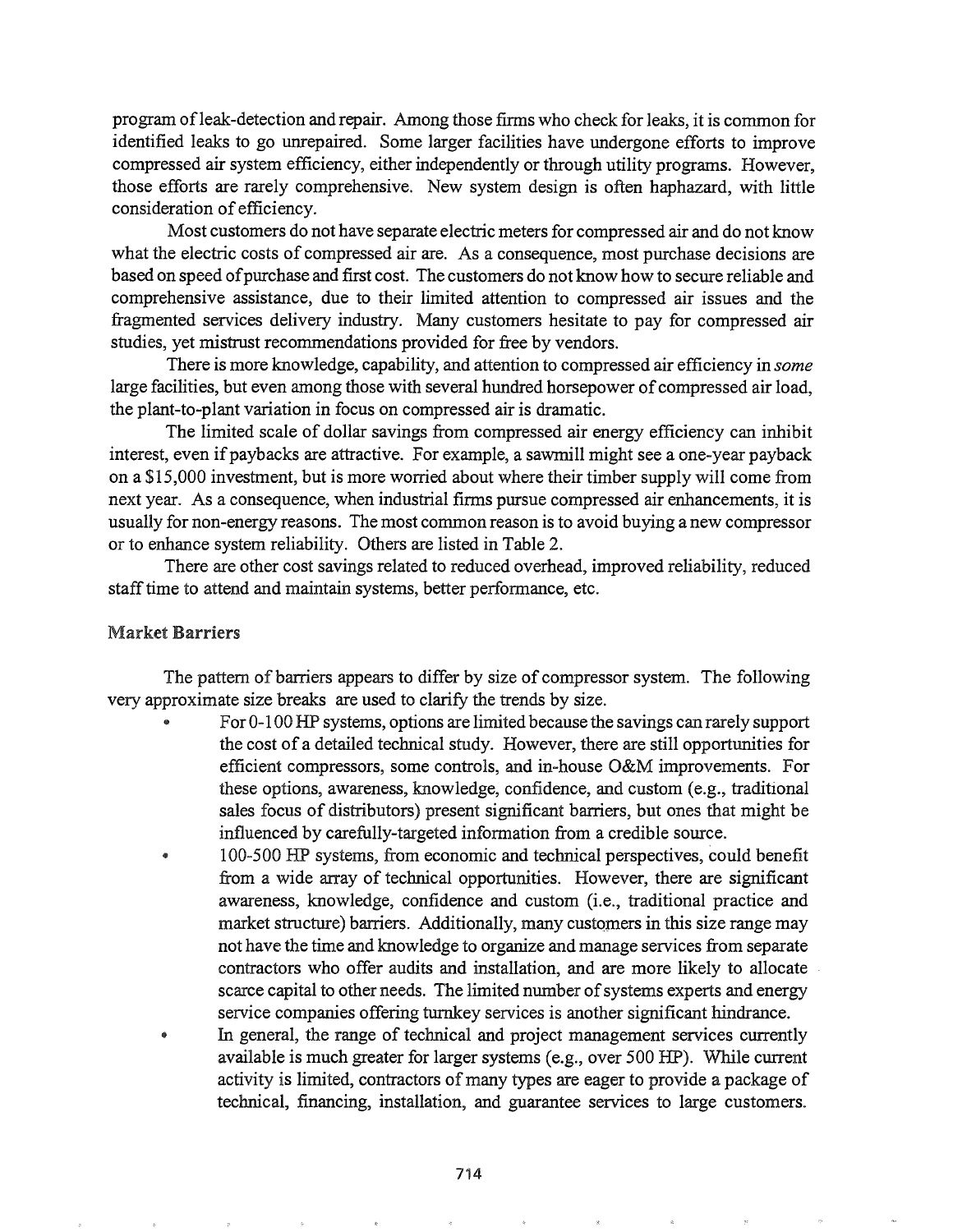program of leak-detection and repair. Among those firms who check for leaks, it is common for identified leaks to go unrepaired. Some larger facilities have undergone efforts to improve compressed air system efficiency, either independently or through utility programs. However, those efforts are rarely comprehensive. New system design is often haphazard, with little consideration of efficiency.

Most customers do not have separate electric meters for compressed air and do not know what the electric costs of compressed air are. As a consequence, most purchase decisions are based on speed of purchase and first cost. The customers do not know how to secure reliable and comprehensive assistance, due to their limited attention to compressed air issues and the fragmented services delivery industry. Many customers hesitate to pay for compressed air studies, yet mistrust recommendations provided for free by vendors.

There is more knowledge, capability, and attention to compressed air efficiency in *some* large facilities, but even among those with several hundred horsepower of compressed air load, the plant-to-plant variation in focus on compressed air is dramatic.

The limited scale of dollar savings from compressed air energy efficiency can inhibit interest, even if paybacks are attractive. For example, a sawmill might see a one-year payback on a \$15,000 investment, but is more worried about where their timber supply will come from next year. As a consequence, when industrial firms pursue compressed air enhancements, it is usually for non-energy reasons. The most common reason is to avoid buying a new compressor or to enhance system reliability. Others are listed in Table 2.

There are other cost savings related to reduced overhead, improved reliability, reduced staff time to attend and maintain systems, better performance, etc.

## Market Barriers

The pattern of barriers appears to differ by size of compressor system. The following very approximate size breaks are used to clarify the trends by size.

- For 0-100 HP systems, options are limited because the savings can rarely support the cost of a detailed technical study. However, there are still opportunities for efficient compressors, some controls, and in-house O&M improvements. For these options, awareness, knowledge, confidence, and custom (e.g., traditional sales focus of distributors) present significant barriers, but ones that might be influenced by carefully-targeted information from a credible source.
- @ 100-500 HP systems, from economic and technical perspectives, could benefit from a wide array of technical opportunities. However, there are significant awareness, knowledge, confidence and custom (i.e., traditional practice and market structure) barriers. Additionally, many customers in this size range may not have the time and knowledge to organize and manage services from separate contractors who offer audits and installation, and are more likely to allocate scarce capital to other needs. The limited number of systems experts and energy service companies offering turnkey services is another significant hindrance.
- $\bullet$  In general, the range of technical and project management services currently available is much greater for larger systems (e.g., over 500 HP). While current activity is limited, contractors of many types are eager to provide a package of technical, financing, installation, and guarantee services to large customers.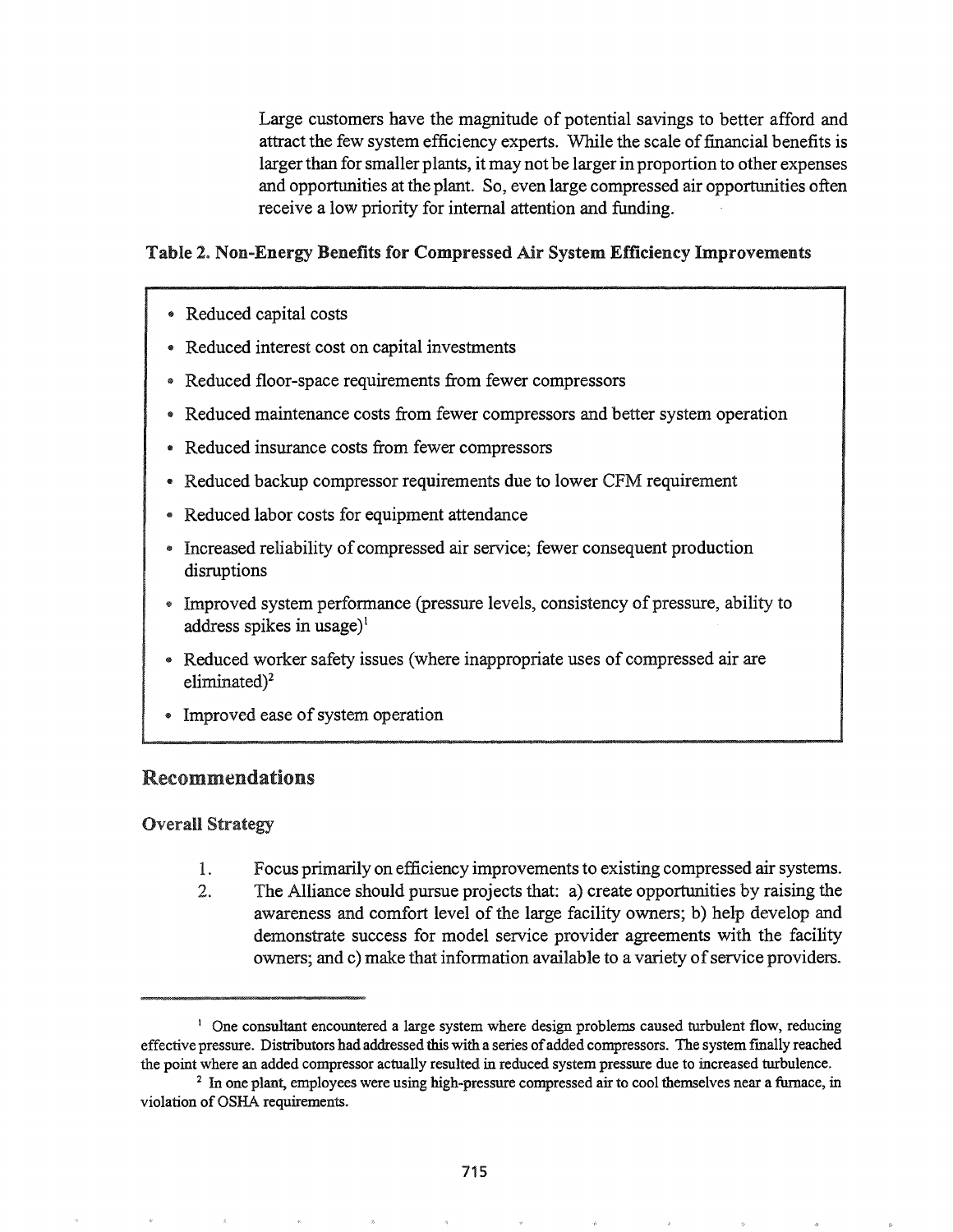Large customers have the magnitude of potential savings to better afford and attract the few system efficiency experts. While the scale offinancial benefits is larger than for smaller plants, it may not be larger in proportion to other expenses and opportunities at the plant. So, even large compressed air opportunities often receive a low priority for internal attention and funding.

## Table 2. Non-Energy Benefits for Compressed Air System Efficiency Improvements

- @ Reduced capital costs
- Reduced interest cost on capital investments
- Reduced floor-space requirements from fewer compressors
- Reduced maintenance costs from fewer compressors and better system operation
- @ Reduced insurance costs from fewer compressors
- @ Reduced backup compressor requirements due to lower CFM requirement
- @ Reduced labor costs for equipment attendance
- Increased reliability of compressed air service; fewer consequent production disruptions
- Improved system performance (pressure levels, consistency of pressure, ability to address spikes in usage)<sup>1</sup>
- @ Reduced worker safety issues (where inappropriate uses of compressed air are eliminated)<sup>2</sup>
- Improved ease of system operation

## Recommendations

## **Overall Strategy**

- 1. Focus primarily on efficiency improvements to existing compressed air systems.
- The Alliance should pursue projects that: a) create opportunities by raising the  $2.$ awareness and comfort level of the large facility owners; b) help develop and demonstrate success for model service provider agreements with the facility owners; and c) make that information available to a variety of service providers.

<sup>&</sup>lt;sup>1</sup> One consultant encountered a large system where design problems caused turbulent flow, reducing effective pressure. Distributors had addressed this with a series of added compressors. The system finally reached the point where an added compressor actually resulted in reduced system pressure due to increased turbulence.

<sup>2</sup> In one plant, employees were using high-pressure compressed air to cool themselves near a furnace, in violation of OSHA requirements.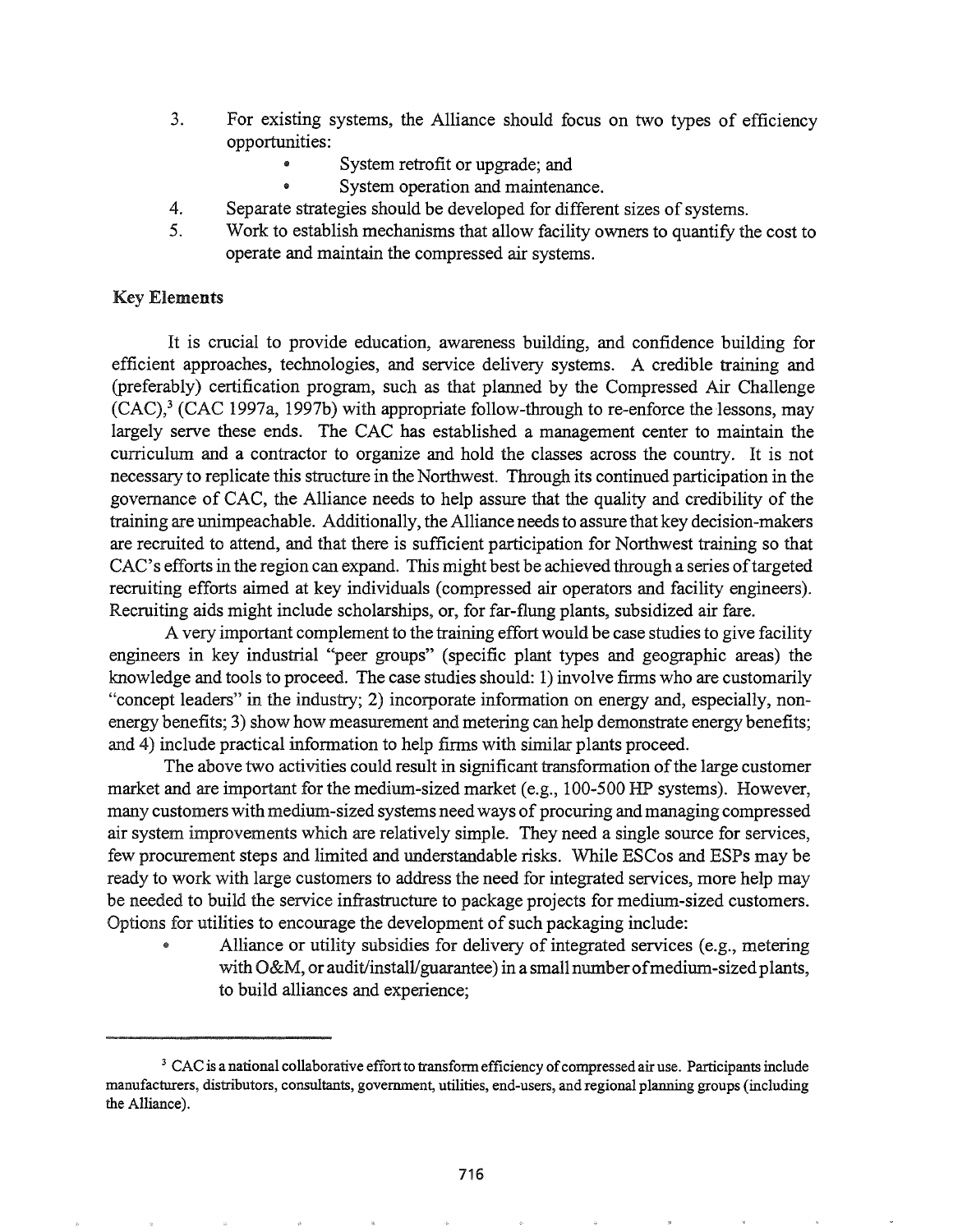- 3. For existing systems, the Alliance should focus on two types of efficiency opportunities:
	- System retrofit or upgrade; and
	- System operation and maintenance.
- 4. Separate strategies should be developed for different sizes of systems.
- 5. Work to establish mechanisms that allow facility owners to quantify the cost to operate and maintain the compressed air systems.

#### Key Elements

It is crucial to provide education, awareness building, and confidence building for efficient approaches, technologies, and service delivery systems. A credible training and (preferably) certification program, such as that planned by the Compressed Air Challenge  $(CAC)<sup>3</sup>$  (CAC 1997a, 1997b) with appropriate follow-through to re-enforce the lessons, may largely serve these ends. The CAC has established a management center to maintain the curriculum and a contractor to organize and hold the classes across the country. It is not necessary to replicate this structure in the Northwest. Through its continued participation in the governance of CAC, the Alliance needs to help assure that the quality and credibility of the training are unimpeachable. Additionally, the Alliance needs to assure that key decision-makers are recruited to attend, and that there is sufficient participation for Northwest training so that CAC's efforts in the region can expand. This might best be achieved through a series of targeted recruiting efforts aimed at key individuals (compressed air operators and facility engineers). Recruiting aids might include scholarships, or, for far-flung plants, subsidized air fare.

A very important complement to the training effort would be case studies to give facility engineers in key industrial "peer groups" (specific plant types and geographic areas) the knowledge and tools to proceed. The case studies should: 1) involve firms who are customarily "concept leaders" in the industry; 2) incorporate information on energy and, especially, nonenergy benefits; 3) show how measurement and metering can help demonstrate energy benefits; and 4) include practical information to help firms with similar plants proceed.

The above two activities could result in significant transformation of the large customer market and are important for the medium-sized market (e.g., 100-500 HP systems). However, many customers with medium-sized systems need ways of procuring and managing compressed air system improvements which are relatively simple. They need a single source for services, few procurement steps and limited and understandable risks. While ESCos and ESPs may be ready to work with large customers to address the need for integrated services, more help may be needed to build the service infrastructure to package projects for medium-sized customers. Options for utilities to encourage the development of such packaging include:

Alliance or utility subsidies for delivery of integrated services (e.g., metering with  $O&M$ , or audit/install/guarantee) in a small number of medium-sized plants, to build alliances and experience;

<sup>&</sup>lt;sup>3</sup> CAC is a national collaborative effort to transform efficiency of compressed air use. Participants include manufacturers, distributors, consultants, government, utilities, end-users, and regional planning groups (including the Alliance).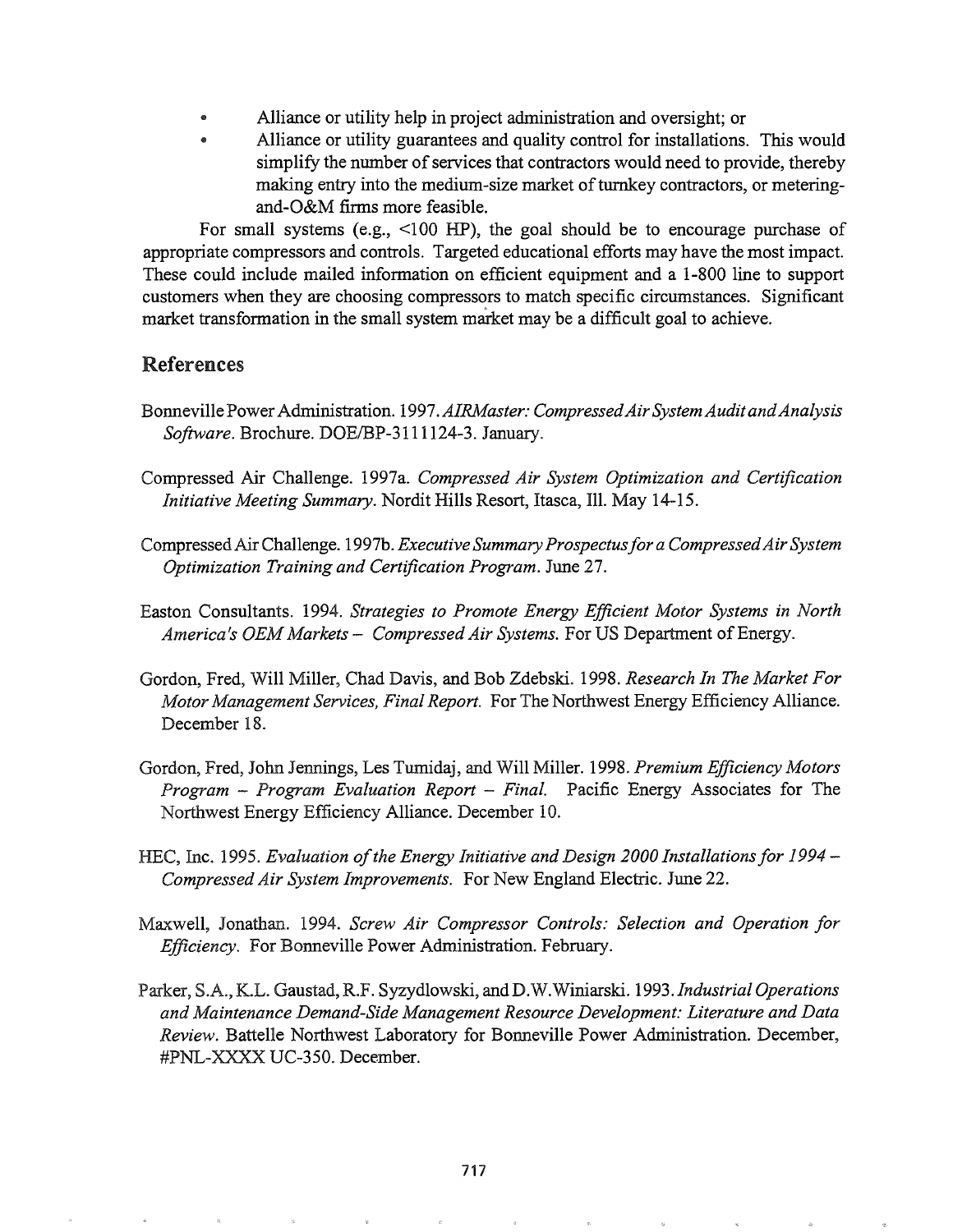- Alliance or utility help in project administration and oversight; or
- Alliance or utility guarantees and quality control for installations. This would simplify the number of services that contractors would need to provide, thereby making entry into the medium-size market of turnkey contractors, or meteringand-O&M firms more feasible.

For small systems (e.g., <100 HP), the goal should be to encourage purchase of appropriate compressors and controls. Targeted educational efforts may have the most impact. These could include mailed information on efficient equipment and a 1-800 line to support customers when they are choosing compressors to match specific circumstances. Significant market transformation in the small system market may be a difficult goal to achieve.

### References

- Bonneville PowerAdministration. 1997.*AIRMaster: CompressedAirSystem AuditandAnalysis Software.* Brochure. DOE/BP-3111124-3. January.
- Compressed Air Challenge. 1997a. *Compressed Air System Optimization and Certification Initiative Meeting Summary.* Nordit Hills Resort, Itasca, Ill. May 14-15.
- CompressedAirChallenge. 1997b. *Executive SummaryProspectusfor a CompressedAirSystem Optimization Training and Certification Program.* June 27.
- Easton Consultants. 1994. *Strategies to Promote Energy Efficient Motor Systems in North America's OEMMarkets* - *Compressed Air Systems.* For US Department ofEnergy.
- Gordon, Fred, Will Miller, Chad Davis, and Bob Zdebski. 1998. *Research In The Market For Motor Management Services, Final Report.* For The Northwest Energy Efficiency Alliance. December 18.
- Gordon, Fred, John Jennings, Les Tumidaj, and Will Miller. 1998. Premium Efficiency Motors *Program* - *Program Evaluation Report* - *Final.* Pacific Energy Associates for The Northwest Energy Efficiency Alliance. December 10&
- HEC, 19950 *Evaluation ofthe Energy Initiative and Design 2000 Installationsfor* 1994 *Compressed Air System Improvements.* For New England Electric. June 22.
- Maxwell, Jonathan. 1994. *Screw Air Compressor Controls: Selection and Operation for Efficiency.* For Bonneville Power Administration. February.
- Parker, S.A., K.L. Gaustad, R.F. Syzydlowski, and D.W. Winiarski. 1993. Industrial Operations *and Maintenance Demand-Side Management Resource Development: Literature and Data Review.* Battelle Northwest Laboratory for Bonneville Power Administration. December, #PNL-XXXX UC-350. December.